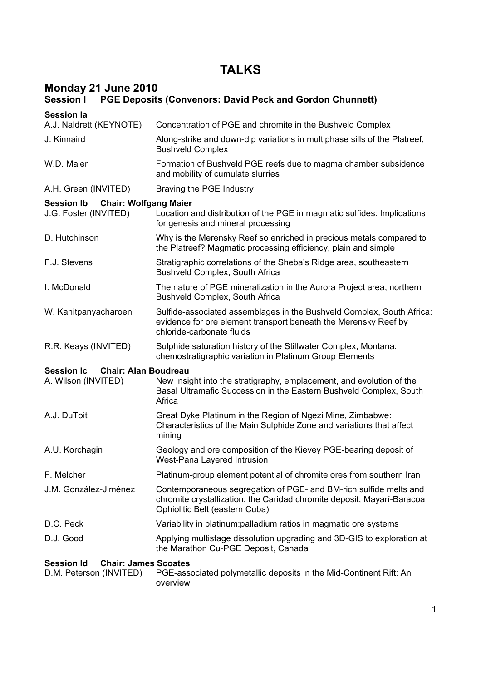# **TALKS**

### **Monday 21 June 2010**

| <b>Session I</b><br><b>PGE Deposits (Convenors: David Peck and Gordon Chunnett)</b> |                                                                                                                                                                               |
|-------------------------------------------------------------------------------------|-------------------------------------------------------------------------------------------------------------------------------------------------------------------------------|
| <b>Session la</b>                                                                   |                                                                                                                                                                               |
| A.J. Naldrett (KEYNOTE)                                                             | Concentration of PGE and chromite in the Bushveld Complex                                                                                                                     |
| J. Kinnaird                                                                         | Along-strike and down-dip variations in multiphase sills of the Platreef,<br><b>Bushveld Complex</b>                                                                          |
| W.D. Maier                                                                          | Formation of Bushveld PGE reefs due to magma chamber subsidence<br>and mobility of cumulate slurries                                                                          |
| A.H. Green (INVITED)                                                                | Braving the PGE Industry                                                                                                                                                      |
| <b>Chair: Wolfgang Maier</b><br><b>Session Ib</b>                                   |                                                                                                                                                                               |
| J.G. Foster (INVITED)                                                               | Location and distribution of the PGE in magmatic sulfides: Implications<br>for genesis and mineral processing                                                                 |
| D. Hutchinson                                                                       | Why is the Merensky Reef so enriched in precious metals compared to<br>the Platreef? Magmatic processing efficiency, plain and simple                                         |
| F.J. Stevens                                                                        | Stratigraphic correlations of the Sheba's Ridge area, southeastern<br><b>Bushveld Complex, South Africa</b>                                                                   |
| I. McDonald                                                                         | The nature of PGE mineralization in the Aurora Project area, northern<br><b>Bushveld Complex, South Africa</b>                                                                |
| W. Kanitpanyacharoen                                                                | Sulfide-associated assemblages in the Bushveld Complex, South Africa:<br>evidence for ore element transport beneath the Merensky Reef by<br>chloride-carbonate fluids         |
| R.R. Keays (INVITED)                                                                | Sulphide saturation history of the Stillwater Complex, Montana:<br>chemostratigraphic variation in Platinum Group Elements                                                    |
| <b>Session Ic</b><br><b>Chair: Alan Boudreau</b><br>A. Wilson (INVITED)             | New Insight into the stratigraphy, emplacement, and evolution of the<br>Basal Ultramafic Succession in the Eastern Bushveld Complex, South<br>Africa                          |
| A.J. DuToit                                                                         | Great Dyke Platinum in the Region of Ngezi Mine, Zimbabwe:<br>Characteristics of the Main Sulphide Zone and variations that affect<br>mining                                  |
| A.U. Korchagin                                                                      | Geology and ore composition of the Kievey PGE-bearing deposit of<br>West-Pana Layered Intrusion                                                                               |
| F. Melcher                                                                          | Platinum-group element potential of chromite ores from southern Iran                                                                                                          |
| J.M. González-Jiménez                                                               | Contemporaneous segregation of PGE- and BM-rich sulfide melts and<br>chromite crystallization: the Caridad chromite deposit, Mayarí-Baracoa<br>Ophiolitic Belt (eastern Cuba) |
| D.C. Peck                                                                           | Variability in platinum: palladium ratios in magmatic ore systems                                                                                                             |
| D.J. Good                                                                           | Applying multistage dissolution upgrading and 3D-GIS to exploration at<br>the Marathon Cu-PGE Deposit, Canada                                                                 |
| <b>Chair: James Scoates</b><br><b>Session Id</b><br>D.M. Peterson (INVITED)         | PGE-associated polymetallic deposits in the Mid-Continent Rift: An<br>overview                                                                                                |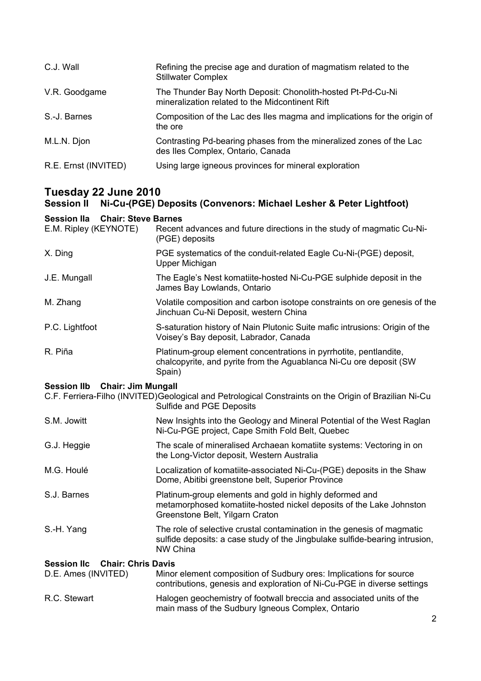| C.J. Wall            | Refining the precise age and duration of magmatism related to the<br><b>Stillwater Complex</b>                 |
|----------------------|----------------------------------------------------------------------------------------------------------------|
| V.R. Goodgame        | The Thunder Bay North Deposit: Chonolith-hosted Pt-Pd-Cu-Ni<br>mineralization related to the Midcontinent Rift |
| S.-J. Barnes         | Composition of the Lac des Iles magma and implications for the origin of<br>the ore                            |
| M.L.N. Djon          | Contrasting Pd-bearing phases from the mineralized zones of the Lac<br>des lles Complex, Ontario, Canada       |
| R.E. Ernst (INVITED) | Using large igneous provinces for mineral exploration                                                          |

### **Tuesday 22 June 2010**

#### **Session II Ni-Cu-(PGE) Deposits (Convenors: Michael Lesher & Peter Lightfoot)**

#### **Session IIa Chair: Steve Barnes**

| E.M. Ripley (KEYNOTE)                           | Recent advances and future directions in the study of magmatic Cu-Ni-<br>(PGE) deposits                                                                           |
|-------------------------------------------------|-------------------------------------------------------------------------------------------------------------------------------------------------------------------|
| X. Ding                                         | PGE systematics of the conduit-related Eagle Cu-Ni-(PGE) deposit,<br>Upper Michigan                                                                               |
| J.E. Mungall                                    | The Eagle's Nest komatiite-hosted Ni-Cu-PGE sulphide deposit in the<br>James Bay Lowlands, Ontario                                                                |
| M. Zhang                                        | Volatile composition and carbon isotope constraints on ore genesis of the<br>Jinchuan Cu-Ni Deposit, western China                                                |
| P.C. Lightfoot                                  | S-saturation history of Nain Plutonic Suite mafic intrusions: Origin of the<br>Voisey's Bay deposit, Labrador, Canada                                             |
| R. Piña                                         | Platinum-group element concentrations in pyrrhotite, pentlandite,<br>chalcopyrite, and pyrite from the Aguablanca Ni-Cu ore deposit (SW<br>Spain)                 |
| <b>Session IIb</b><br><b>Chair: Jim Mungall</b> |                                                                                                                                                                   |
|                                                 | C.F. Ferriera-Filho (INVITED) Geological and Petrological Constraints on the Origin of Brazilian Ni-Cu<br>Sulfide and PGE Deposits                                |
| S.M. Jowitt                                     | New Insights into the Geology and Mineral Potential of the West Raglan<br>Ni-Cu-PGE project, Cape Smith Fold Belt, Quebec                                         |
| G.J. Heggie                                     | The scale of mineralised Archaean komatiite systems: Vectoring in on<br>the Long-Victor deposit, Western Australia                                                |
| M.G. Houlé                                      | Localization of komatiite-associated Ni-Cu-(PGE) deposits in the Shaw<br>Dome, Abitibi greenstone belt, Superior Province                                         |
| S.J. Barnes                                     | Platinum-group elements and gold in highly deformed and<br>metamorphosed komatiite-hosted nickel deposits of the Lake Johnston<br>Greenstone Belt, Yilgarn Craton |
| S.-H. Yang                                      | The role of selective crustal contamination in the genesis of magmatic<br>sulfide deposits: a case study of the Jingbulake sulfide-bearing intrusion,<br>NW China |
| <b>Session Ilc</b><br><b>Chair: Chris Davis</b> |                                                                                                                                                                   |
| D.E. Ames (INVITED)                             | Minor element composition of Sudbury ores: Implications for source<br>contributions, genesis and exploration of Ni-Cu-PGE in diverse settings                     |
|                                                 |                                                                                                                                                                   |

| R.C. Stewart | Halogen geochemistry of footwall breccia and associated units of the |
|--------------|----------------------------------------------------------------------|
|              | main mass of the Sudbury Igneous Complex, Ontario                    |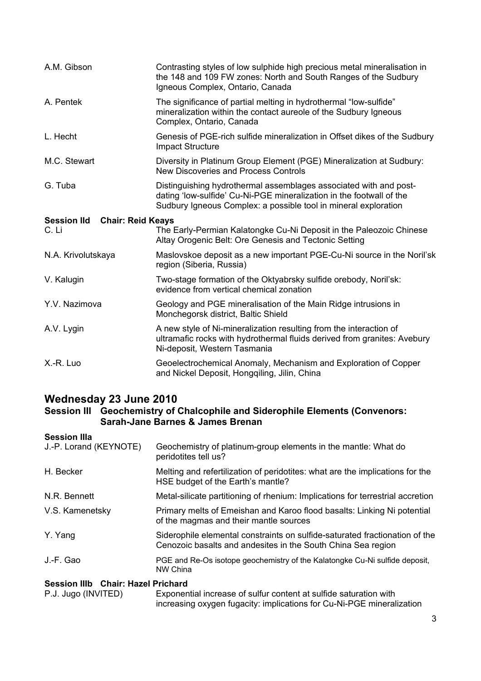| A.M. Gibson                                             | Contrasting styles of low sulphide high precious metal mineralisation in<br>the 148 and 109 FW zones: North and South Ranges of the Sudbury<br>Igneous Complex, Ontario, Canada                              |
|---------------------------------------------------------|--------------------------------------------------------------------------------------------------------------------------------------------------------------------------------------------------------------|
| A. Pentek                                               | The significance of partial melting in hydrothermal "low-sulfide"<br>mineralization within the contact aureole of the Sudbury Igneous<br>Complex, Ontario, Canada                                            |
| L. Hecht                                                | Genesis of PGE-rich sulfide mineralization in Offset dikes of the Sudbury<br><b>Impact Structure</b>                                                                                                         |
| M.C. Stewart                                            | Diversity in Platinum Group Element (PGE) Mineralization at Sudbury:<br>New Discoveries and Process Controls                                                                                                 |
| G. Tuba                                                 | Distinguishing hydrothermal assemblages associated with and post-<br>dating 'low-sulfide' Cu-Ni-PGE mineralization in the footwall of the<br>Sudbury Igneous Complex: a possible tool in mineral exploration |
| <b>Chair: Reid Keays</b><br><b>Session IId</b><br>C. Li | The Early-Permian Kalatongke Cu-Ni Deposit in the Paleozoic Chinese<br>Altay Orogenic Belt: Ore Genesis and Tectonic Setting                                                                                 |
| N.A. Krivolutskaya                                      | Maslovskoe deposit as a new important PGE-Cu-Ni source in the Noril'sk<br>region (Siberia, Russia)                                                                                                           |
| V. Kalugin                                              | Two-stage formation of the Oktyabrsky sulfide orebody, Noril'sk:<br>evidence from vertical chemical zonation                                                                                                 |
| Y.V. Nazimova                                           | Geology and PGE mineralisation of the Main Ridge intrusions in<br>Monchegorsk district, Baltic Shield                                                                                                        |
| A.V. Lygin                                              | A new style of Ni-mineralization resulting from the interaction of<br>ultramafic rocks with hydrothermal fluids derived from granites: Avebury<br>Ni-deposit, Western Tasmania                               |
| X.-R. Luo                                               | Geoelectrochemical Anomaly, Mechanism and Exploration of Copper<br>and Nickel Deposit, Hongqiling, Jilin, China                                                                                              |

### **Wednesday 23 June 2010**

#### **Session III Geochemistry of Chalcophile and Siderophile Elements (Convenors: Sarah-Jane Barnes & James Brenan**

#### **Session IIIa**

| Session IIIb Chair: Hazel Prichard |                                                                                                                                             |
|------------------------------------|---------------------------------------------------------------------------------------------------------------------------------------------|
| J.-F. Gao                          | PGE and Re-Os isotope geochemistry of the Kalatongke Cu-Ni sulfide deposit,<br>NW China                                                     |
| Y. Yang                            | Siderophile elemental constraints on sulfide-saturated fractionation of the<br>Cenozoic basalts and andesites in the South China Sea region |
| V.S. Kamenetsky                    | Primary melts of Emeishan and Karoo flood basalts: Linking Ni potential<br>of the magmas and their mantle sources                           |
| N.R. Bennett                       | Metal-silicate partitioning of rhenium: Implications for terrestrial accretion                                                              |
| H. Becker                          | Melting and refertilization of peridotites: what are the implications for the<br>HSE budget of the Earth's mantle?                          |
| J.-P. Lorand (KEYNOTE)             | Geochemistry of platinum-group elements in the mantle: What do<br>peridotites tell us?                                                      |

| P.J. Jugo (INVITED) | Exponential increase of sulfur content at sulfide saturation with     |
|---------------------|-----------------------------------------------------------------------|
|                     | increasing oxygen fugacity: implications for Cu-Ni-PGE mineralization |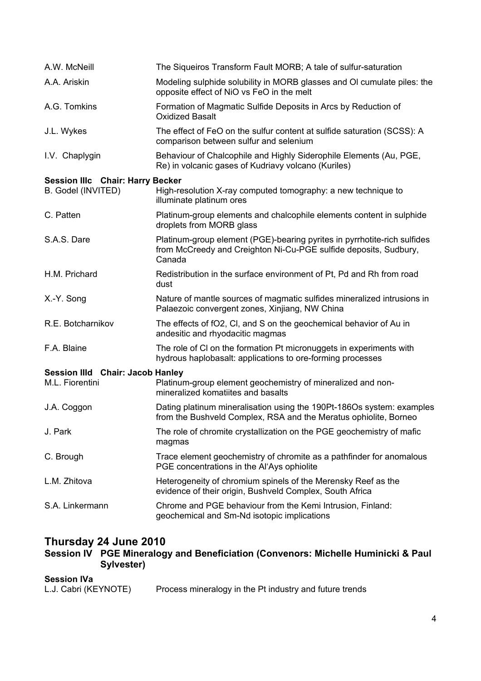| The Sigueiros Transform Fault MORB; A tale of sulfur-saturation                                                                                        |
|--------------------------------------------------------------------------------------------------------------------------------------------------------|
| Modeling sulphide solubility in MORB glasses and OI cumulate piles: the<br>opposite effect of NiO vs FeO in the melt                                   |
| Formation of Magmatic Sulfide Deposits in Arcs by Reduction of<br><b>Oxidized Basalt</b>                                                               |
| The effect of FeO on the sulfur content at sulfide saturation (SCSS): A<br>comparison between sulfur and selenium                                      |
| Behaviour of Chalcophile and Highly Siderophile Elements (Au, PGE,<br>Re) in volcanic gases of Kudriavy volcano (Kuriles)                              |
| <b>Session IIIc Chair: Harry Becker</b>                                                                                                                |
| High-resolution X-ray computed tomography: a new technique to<br>illuminate platinum ores                                                              |
| Platinum-group elements and chalcophile elements content in sulphide<br>droplets from MORB glass                                                       |
| Platinum-group element (PGE)-bearing pyrites in pyrrhotite-rich sulfides<br>from McCreedy and Creighton Ni-Cu-PGE sulfide deposits, Sudbury,<br>Canada |
| Redistribution in the surface environment of Pt, Pd and Rh from road<br>dust                                                                           |
| Nature of mantle sources of magmatic sulfides mineralized intrusions in<br>Palaezoic convergent zones, Xinjiang, NW China                              |
| The effects of fO2, CI, and S on the geochemical behavior of Au in<br>andesitic and rhyodacitic magmas                                                 |
| The role of CI on the formation Pt micronuggets in experiments with<br>hydrous haplobasalt: applications to ore-forming processes                      |
| <b>Session IIId Chair: Jacob Hanley</b>                                                                                                                |
| Platinum-group element geochemistry of mineralized and non-<br>mineralized komatiites and basalts                                                      |
| Dating platinum mineralisation using the 190Pt-186Os system: examples<br>from the Bushveld Complex, RSA and the Meratus ophiolite, Borneo              |
| The role of chromite crystallization on the PGE geochemistry of mafic<br>magmas                                                                        |
| Trace element geochemistry of chromite as a pathfinder for anomalous<br>PGE concentrations in the Al'Ays ophiolite                                     |
| Heterogeneity of chromium spinels of the Merensky Reef as the<br>evidence of their origin, Bushveld Complex, South Africa                              |
| Chrome and PGE behaviour from the Kemi Intrusion, Finland:<br>geochemical and Sm-Nd isotopic implications                                              |
|                                                                                                                                                        |

### **Thursday 24 June 2010**

**Session IV PGE Mineralogy and Beneficiation (Convenors: Michelle Huminicki & Paul Sylvester)** 

#### **Session IVa**

| L.J. Cabri (KEYNOTE) | Process mineralogy in the Pt industry and future trends |
|----------------------|---------------------------------------------------------|
|----------------------|---------------------------------------------------------|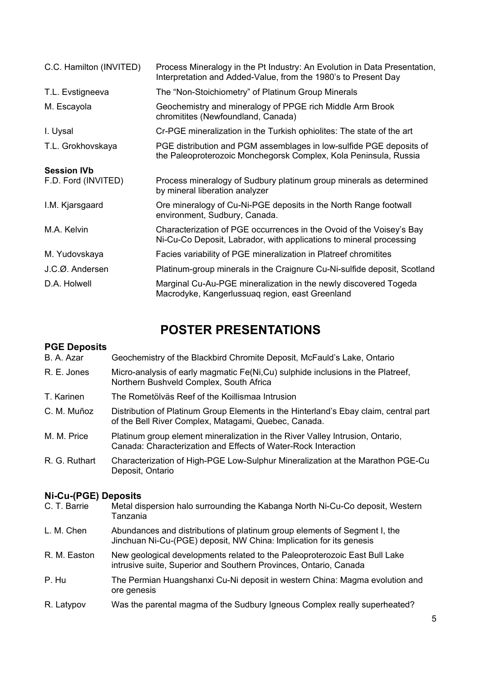| C.C. Hamilton (INVITED) | Process Mineralogy in the Pt Industry: An Evolution in Data Presentation,<br>Interpretation and Added-Value, from the 1980's to Present Day |
|-------------------------|---------------------------------------------------------------------------------------------------------------------------------------------|
| T.L. Evstigneeva        | The "Non-Stoichiometry" of Platinum Group Minerals                                                                                          |
| M. Escayola             | Geochemistry and mineralogy of PPGE rich Middle Arm Brook<br>chromitites (Newfoundland, Canada)                                             |
| I. Uysal                | Cr-PGE mineralization in the Turkish ophiolites: The state of the art                                                                       |
| T.L. Grokhovskaya       | PGE distribution and PGM assemblages in low-sulfide PGE deposits of<br>the Paleoproterozoic Monchegorsk Complex, Kola Peninsula, Russia     |
| <b>Session IVb</b>      |                                                                                                                                             |
| F.D. Ford (INVITED)     | Process mineralogy of Sudbury platinum group minerals as determined<br>by mineral liberation analyzer                                       |
| I.M. Kjarsgaard         | Ore mineralogy of Cu-Ni-PGE deposits in the North Range footwall<br>environment, Sudbury, Canada.                                           |
| M.A. Kelvin             | Characterization of PGE occurrences in the Ovoid of the Voisey's Bay<br>Ni-Cu-Co Deposit, Labrador, with applications to mineral processing |
| M. Yudovskaya           | Facies variability of PGE mineralization in Platreef chromitites                                                                            |
| J.C.Ø. Andersen         | Platinum-group minerals in the Craignure Cu-Ni-sulfide deposit, Scotland                                                                    |
| D.A. Holwell            | Marginal Cu-Au-PGE mineralization in the newly discovered Togeda<br>Macrodyke, Kangerlussuag region, east Greenland                         |

## **POSTER PRESENTATIONS**

#### **PGE Deposits**

| Geochemistry of the Blackbird Chromite Deposit, McFauld's Lake, Ontario                                                                          |
|--------------------------------------------------------------------------------------------------------------------------------------------------|
| Micro-analysis of early magmatic Fe(Ni,Cu) sulphide inclusions in the Platreef,<br>Northern Bushveld Complex, South Africa                       |
| The Rometölväs Reef of the Koillismaa Intrusion                                                                                                  |
| Distribution of Platinum Group Elements in the Hinterland's Ebay claim, central part<br>of the Bell River Complex, Matagami, Quebec, Canada.     |
| Platinum group element mineralization in the River Valley Intrusion, Ontario,<br>Canada: Characterization and Effects of Water-Rock Interaction  |
| Characterization of High-PGE Low-Sulphur Mineralization at the Marathon PGE-Cu<br>Deposit, Ontario                                               |
| <b>Ni-Cu-(PGE) Deposits</b>                                                                                                                      |
| Metal dispersion halo surrounding the Kabanga North Ni-Cu-Co deposit, Western<br>Tanzania                                                        |
| Abundances and distributions of platinum group elements of Segment I, the<br>Jinchuan Ni-Cu-(PGE) deposit, NW China: Implication for its genesis |
|                                                                                                                                                  |

- R. M. Easton New geological developments related to the Paleoproterozoic East Bull Lake intrusive suite, Superior and Southern Provinces, Ontario, Canada
- P. Hu The Permian Huangshanxi Cu-Ni deposit in western China: Magma evolution and ore genesis
- R. Latypov Was the parental magma of the Sudbury Igneous Complex really superheated?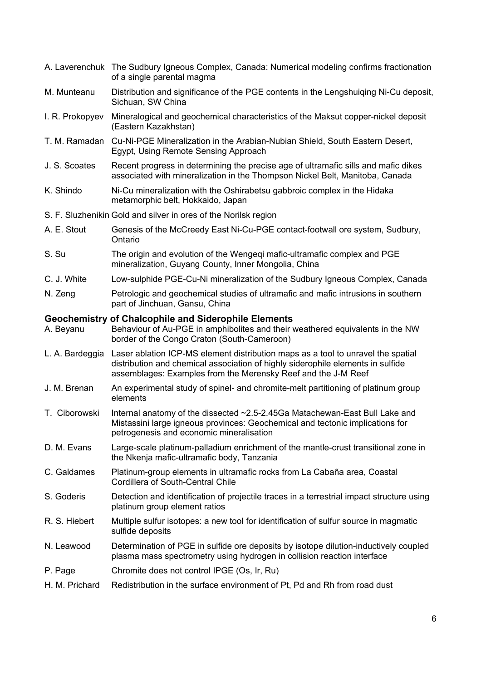|                 | A. Laverenchuk The Sudbury Igneous Complex, Canada: Numerical modeling confirms fractionation<br>of a single parental magma                                                                                                          |
|-----------------|--------------------------------------------------------------------------------------------------------------------------------------------------------------------------------------------------------------------------------------|
| M. Munteanu     | Distribution and significance of the PGE contents in the Lengshuiqing Ni-Cu deposit,<br>Sichuan, SW China                                                                                                                            |
| I. R. Prokopyev | Mineralogical and geochemical characteristics of the Maksut copper-nickel deposit<br>(Eastern Kazakhstan)                                                                                                                            |
|                 | T. M. Ramadan Cu-Ni-PGE Mineralization in the Arabian-Nubian Shield, South Eastern Desert,<br>Egypt, Using Remote Sensing Approach                                                                                                   |
| J. S. Scoates   | Recent progress in determining the precise age of ultramafic sills and mafic dikes<br>associated with mineralization in the Thompson Nickel Belt, Manitoba, Canada                                                                   |
| K. Shindo       | Ni-Cu mineralization with the Oshirabetsu gabbroic complex in the Hidaka<br>metamorphic belt, Hokkaido, Japan                                                                                                                        |
|                 | S. F. Sluzhenikin Gold and silver in ores of the Norilsk region                                                                                                                                                                      |
| A. E. Stout     | Genesis of the McCreedy East Ni-Cu-PGE contact-footwall ore system, Sudbury,<br>Ontario                                                                                                                                              |
| S. Su           | The origin and evolution of the Wengeqi mafic-ultramafic complex and PGE<br>mineralization, Guyang County, Inner Mongolia, China                                                                                                     |
| C. J. White     | Low-sulphide PGE-Cu-Ni mineralization of the Sudbury Igneous Complex, Canada                                                                                                                                                         |
| N. Zeng         | Petrologic and geochemical studies of ultramafic and mafic intrusions in southern<br>part of Jinchuan, Gansu, China                                                                                                                  |
| A. Beyanu       | <b>Geochemistry of Chalcophile and Siderophile Elements</b><br>Behaviour of Au-PGE in amphibolites and their weathered equivalents in the NW<br>border of the Congo Craton (South-Cameroon)                                          |
| L. A. Bardeggia | Laser ablation ICP-MS element distribution maps as a tool to unravel the spatial<br>distribution and chemical association of highly siderophile elements in sulfide<br>assemblages: Examples from the Merensky Reef and the J-M Reef |
| J. M. Brenan    | An experimental study of spinel- and chromite-melt partitioning of platinum group<br>elements                                                                                                                                        |
| T. Ciborowski   | Internal anatomy of the dissected ~2.5-2.45Ga Matachewan-East Bull Lake and<br>Mistassini large igneous provinces: Geochemical and tectonic implications for<br>petrogenesis and economic mineralisation                             |
| D. M. Evans     | Large-scale platinum-palladium enrichment of the mantle-crust transitional zone in<br>the Nkenja mafic-ultramafic body, Tanzania                                                                                                     |
| C. Galdames     | Platinum-group elements in ultramafic rocks from La Cabaña area, Coastal<br>Cordillera of South-Central Chile                                                                                                                        |
| S. Goderis      | Detection and identification of projectile traces in a terrestrial impact structure using<br>platinum group element ratios                                                                                                           |
| R. S. Hiebert   | Multiple sulfur isotopes: a new tool for identification of sulfur source in magmatic<br>sulfide deposits                                                                                                                             |
| N. Leawood      | Determination of PGE in sulfide ore deposits by isotope dilution-inductively coupled<br>plasma mass spectrometry using hydrogen in collision reaction interface                                                                      |
| P. Page         | Chromite does not control IPGE (Os, Ir, Ru)                                                                                                                                                                                          |
| H. M. Prichard  | Redistribution in the surface environment of Pt, Pd and Rh from road dust                                                                                                                                                            |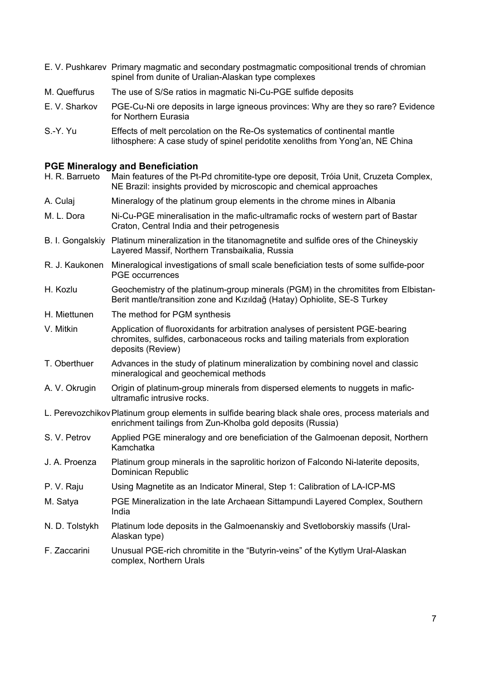- E. V. Pushkarev Primary magmatic and secondary postmagmatic compositional trends of chromian spinel from dunite of Uralian-Alaskan type complexes
- M. Queffurus The use of S/Se ratios in magmatic Ni-Cu-PGE sulfide deposits
- E. V. Sharkov PGE-Cu-Ni ore deposits in large igneous provinces: Why are they so rare? Evidence for Northern Eurasia
- S.-Y. Yu Effects of melt percolation on the Re-Os systematics of continental mantle lithosphere: A case study of spinel peridotite xenoliths from Yong'an, NE China

#### **PGE Mineralogy and Beneficiation**

| H. R. Barrueto | Main features of the Pt-Pd chromitite-type ore deposit, Tróia Unit, Cruzeta Complex,<br>NE Brazil: insights provided by microscopic and chemical approaches                            |
|----------------|----------------------------------------------------------------------------------------------------------------------------------------------------------------------------------------|
| A. Culaj       | Mineralogy of the platinum group elements in the chrome mines in Albania                                                                                                               |
| M. L. Dora     | Ni-Cu-PGE mineralisation in the mafic-ultramafic rocks of western part of Bastar<br>Craton, Central India and their petrogenesis                                                       |
|                | B. I. Gongalskiy Platinum mineralization in the titanomagnetite and sulfide ores of the Chineyskiy<br>Layered Massif, Northern Transbaikalia, Russia                                   |
| R. J. Kaukonen | Mineralogical investigations of small scale beneficiation tests of some sulfide-poor<br><b>PGE</b> occurrences                                                                         |
| H. Kozlu       | Geochemistry of the platinum-group minerals (PGM) in the chromitites from Elbistan-<br>Berit mantle/transition zone and Kızıldağ (Hatay) Ophiolite, SE-S Turkey                        |
| H. Miettunen   | The method for PGM synthesis                                                                                                                                                           |
| V. Mitkin      | Application of fluoroxidants for arbitration analyses of persistent PGE-bearing<br>chromites, sulfides, carbonaceous rocks and tailing materials from exploration<br>deposits (Review) |
| T. Oberthuer   | Advances in the study of platinum mineralization by combining novel and classic<br>mineralogical and geochemical methods                                                               |
| A. V. Okrugin  | Origin of platinum-group minerals from dispersed elements to nuggets in mafic-<br>ultramafic intrusive rocks.                                                                          |
|                | L. Perevozchikov Platinum group elements in sulfide bearing black shale ores, process materials and<br>enrichment tailings from Zun-Kholba gold deposits (Russia)                      |
| S. V. Petrov   | Applied PGE mineralogy and ore beneficiation of the Galmoenan deposit, Northern<br>Kamchatka                                                                                           |
| J. A. Proenza  | Platinum group minerals in the saprolitic horizon of Falcondo Ni-laterite deposits,<br>Dominican Republic                                                                              |
| P. V. Raju     | Using Magnetite as an Indicator Mineral, Step 1: Calibration of LA-ICP-MS                                                                                                              |
| M. Satya       | PGE Mineralization in the late Archaean Sittampundi Layered Complex, Southern<br>India                                                                                                 |
| N. D. Tolstykh | Platinum lode deposits in the Galmoenanskiy and Svetloborskiy massifs (Ural-<br>Alaskan type)                                                                                          |
| F. Zaccarini   | Unusual PGE-rich chromitite in the "Butyrin-veins" of the Kytlym Ural-Alaskan<br>complex, Northern Urals                                                                               |
|                |                                                                                                                                                                                        |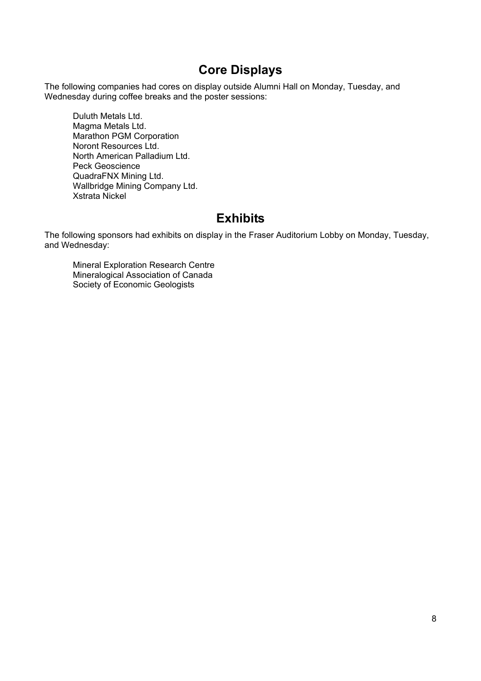## **Core Displays**

The following companies had cores on display outside Alumni Hall on Monday, Tuesday, and Wednesday during coffee breaks and the poster sessions:

Duluth Metals Ltd. Magma Metals Ltd. Marathon PGM Corporation Noront Resources Ltd. North American Palladium Ltd. Peck Geoscience QuadraFNX Mining Ltd. Wallbridge Mining Company Ltd. Xstrata Nickel

## **Exhibits**

The following sponsors had exhibits on display in the Fraser Auditorium Lobby on Monday, Tuesday, and Wednesday:

Mineral Exploration Research Centre Mineralogical Association of Canada Society of Economic Geologists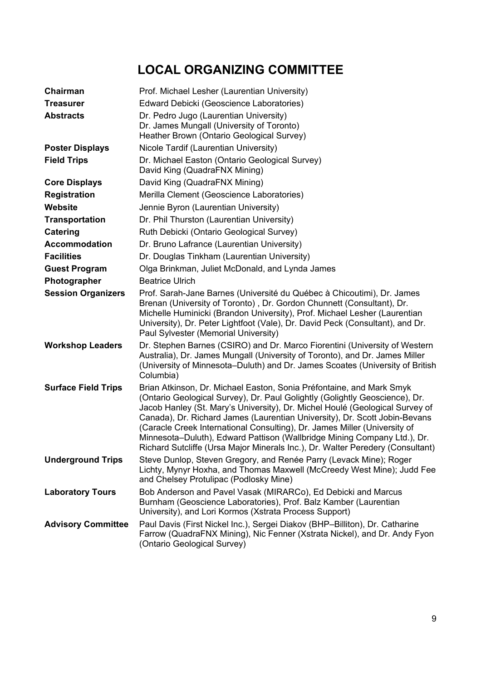# **LOCAL ORGANIZING COMMITTEE**

| Chairman                   | Prof. Michael Lesher (Laurentian University)                                                                                                                                                                                                                                                                                                                                                                                                                                                                                                                 |
|----------------------------|--------------------------------------------------------------------------------------------------------------------------------------------------------------------------------------------------------------------------------------------------------------------------------------------------------------------------------------------------------------------------------------------------------------------------------------------------------------------------------------------------------------------------------------------------------------|
| <b>Treasurer</b>           | Edward Debicki (Geoscience Laboratories)                                                                                                                                                                                                                                                                                                                                                                                                                                                                                                                     |
| <b>Abstracts</b>           | Dr. Pedro Jugo (Laurentian University)<br>Dr. James Mungall (University of Toronto)<br>Heather Brown (Ontario Geological Survey)                                                                                                                                                                                                                                                                                                                                                                                                                             |
| <b>Poster Displays</b>     | Nicole Tardif (Laurentian University)                                                                                                                                                                                                                                                                                                                                                                                                                                                                                                                        |
| <b>Field Trips</b>         | Dr. Michael Easton (Ontario Geological Survey)<br>David King (QuadraFNX Mining)                                                                                                                                                                                                                                                                                                                                                                                                                                                                              |
| <b>Core Displays</b>       | David King (QuadraFNX Mining)                                                                                                                                                                                                                                                                                                                                                                                                                                                                                                                                |
| <b>Registration</b>        | Merilla Clement (Geoscience Laboratories)                                                                                                                                                                                                                                                                                                                                                                                                                                                                                                                    |
| Website                    | Jennie Byron (Laurentian University)                                                                                                                                                                                                                                                                                                                                                                                                                                                                                                                         |
| <b>Transportation</b>      | Dr. Phil Thurston (Laurentian University)                                                                                                                                                                                                                                                                                                                                                                                                                                                                                                                    |
| <b>Catering</b>            | Ruth Debicki (Ontario Geological Survey)                                                                                                                                                                                                                                                                                                                                                                                                                                                                                                                     |
| <b>Accommodation</b>       | Dr. Bruno Lafrance (Laurentian University)                                                                                                                                                                                                                                                                                                                                                                                                                                                                                                                   |
| <b>Facilities</b>          | Dr. Douglas Tinkham (Laurentian University)                                                                                                                                                                                                                                                                                                                                                                                                                                                                                                                  |
| <b>Guest Program</b>       | Olga Brinkman, Juliet McDonald, and Lynda James                                                                                                                                                                                                                                                                                                                                                                                                                                                                                                              |
| Photographer               | <b>Beatrice Ulrich</b>                                                                                                                                                                                                                                                                                                                                                                                                                                                                                                                                       |
| <b>Session Organizers</b>  | Prof. Sarah-Jane Barnes (Université du Québec à Chicoutimi), Dr. James<br>Brenan (University of Toronto), Dr. Gordon Chunnett (Consultant), Dr.<br>Michelle Huminicki (Brandon University), Prof. Michael Lesher (Laurentian<br>University), Dr. Peter Lightfoot (Vale), Dr. David Peck (Consultant), and Dr.<br>Paul Sylvester (Memorial University)                                                                                                                                                                                                        |
| <b>Workshop Leaders</b>    | Dr. Stephen Barnes (CSIRO) and Dr. Marco Fiorentini (University of Western<br>Australia), Dr. James Mungall (University of Toronto), and Dr. James Miller<br>(University of Minnesota-Duluth) and Dr. James Scoates (University of British<br>Columbia)                                                                                                                                                                                                                                                                                                      |
| <b>Surface Field Trips</b> | Brian Atkinson, Dr. Michael Easton, Sonia Préfontaine, and Mark Smyk<br>(Ontario Geological Survey), Dr. Paul Golightly (Golightly Geoscience), Dr.<br>Jacob Hanley (St. Mary's University), Dr. Michel Houlé (Geological Survey of<br>Canada), Dr. Richard James (Laurentian University), Dr. Scott Jobin-Bevans<br>(Caracle Creek International Consulting), Dr. James Miller (University of<br>Minnesota-Duluth), Edward Pattison (Wallbridge Mining Company Ltd.), Dr.<br>Richard Sutcliffe (Ursa Major Minerals Inc.), Dr. Walter Peredery (Consultant) |
| <b>Underground Trips</b>   | Steve Dunlop, Steven Gregory, and Renée Parry (Levack Mine); Roger<br>Lichty, Mynyr Hoxha, and Thomas Maxwell (McCreedy West Mine); Judd Fee<br>and Chelsey Protulipac (Podlosky Mine)                                                                                                                                                                                                                                                                                                                                                                       |
| <b>Laboratory Tours</b>    | Bob Anderson and Pavel Vasak (MIRARCo), Ed Debicki and Marcus<br>Burnham (Geoscience Laboratories), Prof. Balz Kamber (Laurentian<br>University), and Lori Kormos (Xstrata Process Support)                                                                                                                                                                                                                                                                                                                                                                  |
| <b>Advisory Committee</b>  | Paul Davis (First Nickel Inc.), Sergei Diakov (BHP-Billiton), Dr. Catharine<br>Farrow (QuadraFNX Mining), Nic Fenner (Xstrata Nickel), and Dr. Andy Fyon<br>(Ontario Geological Survey)                                                                                                                                                                                                                                                                                                                                                                      |